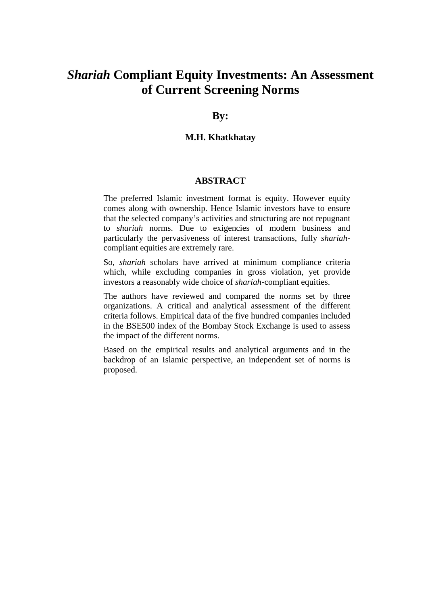# *Shariah* **Compliant Equity Investments: An Assessment of Current Screening Norms**

## **By:**

## **M.H. Khatkhatay**

#### **ABSTRACT**

The preferred Islamic investment format is equity. However equity comes along with ownership. Hence Islamic investors have to ensure that the selected company's activities and structuring are not repugnant to *shariah* norms. Due to exigencies of modern business and particularly the pervasiveness of interest transactions, fully *shariah*compliant equities are extremely rare.

So, *shariah* scholars have arrived at minimum compliance criteria which, while excluding companies in gross violation, yet provide investors a reasonably wide choice of *shariah*-compliant equities.

The authors have reviewed and compared the norms set by three organizations. A critical and analytical assessment of the different criteria follows. Empirical data of the five hundred companies included in the BSE500 index of the Bombay Stock Exchange is used to assess the impact of the different norms.

Based on the empirical results and analytical arguments and in the backdrop of an Islamic perspective, an independent set of norms is proposed.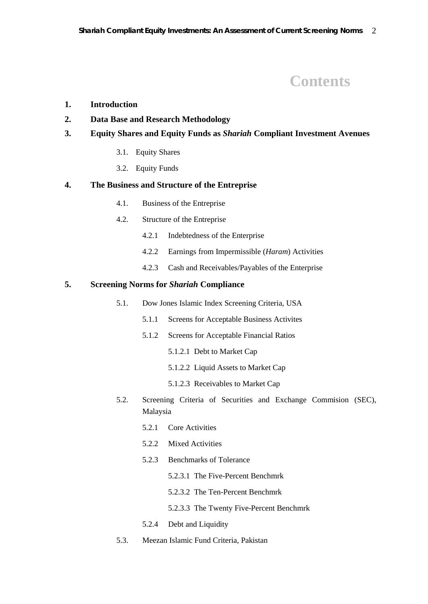# **Contents**

#### **1. Introduction**

## **2. Data Base and Research Methodology**

## **3. Equity Shares and Equity Funds as** *Shariah* **Compliant Investment Avenues**

- 3.1. Equity Shares
- 3.2. Equity Funds

## **4. The Business and Structure of the Entreprise**

- 4.1. Business of the Entreprise
- 4.2. Structure of the Entreprise
	- 4.2.1 Indebtedness of the Enterprise
	- 4.2.2 Earnings from Impermissible (*Haram*) Activities
	- 4.2.3 Cash and Receivables/Payables of the Enterprise

#### **5. Screening Norms for** *Shariah* **Compliance**

- 5.1. Dow Jones Islamic Index Screening Criteria, USA
	- 5.1.1 Screens for Acceptable Business Activites
	- 5.1.2 Screens for Acceptable Financial Ratios
		- 5.1.2.1 Debt to Market Cap
		- 5.1.2.2 Liquid Assets to Market Cap
		- 5.1.2.3 Receivables to Market Cap
- 5.2. Screening Criteria of Securities and Exchange Commision (SEC), Malaysia
	- 5.2.1 Core Activities
	- 5.2.2 Mixed Activities
	- 5.2.3 Benchmarks of Tolerance
		- 5.2.3.1 The Five-Percent Benchmrk
		- 5.2.3.2 The Ten-Percent Benchmrk
		- 5.2.3.3 The Twenty Five-Percent Benchmrk
	- 5.2.4 Debt and Liquidity
- 5.3. Meezan Islamic Fund Criteria, Pakistan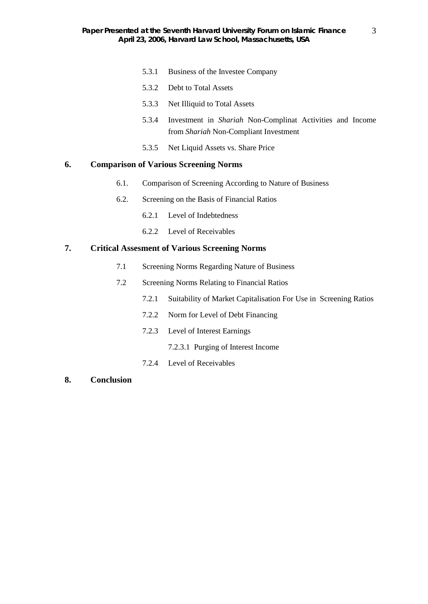- 5.3.1 Business of the Investee Company
- 5.3.2 Debt to Total Assets
- 5.3.3 Net Illiquid to Total Assets
- 5.3.4 Investment in *Shariah* Non-Complinat Activities and Income from *Shariah* Non-Compliant Investment
- 5.3.5 Net Liquid Assets vs. Share Price

### **6. Comparison of Various Screening Norms**

- 6.1. Comparison of Screening According to Nature of Business
- 6.2. Screening on the Basis of Financial Ratios
	- 6.2.1 Level of Indebtedness
	- 6.2.2 Level of Receivables

### **7. Critical Assesment of Various Screening Norms**

- 7.1 Screening Norms Regarding Nature of Business
- 7.2 Screening Norms Relating to Financial Ratios
	- 7.2.1 Suitability of Market Capitalisation For Use in Screening Ratios
	- 7.2.2 Norm for Level of Debt Financing
	- 7.2.3 Level of Interest Earnings
		- 7.2.3.1 Purging of Interest Income
	- 7.2.4 Level of Receivables
- **8. Conclusion**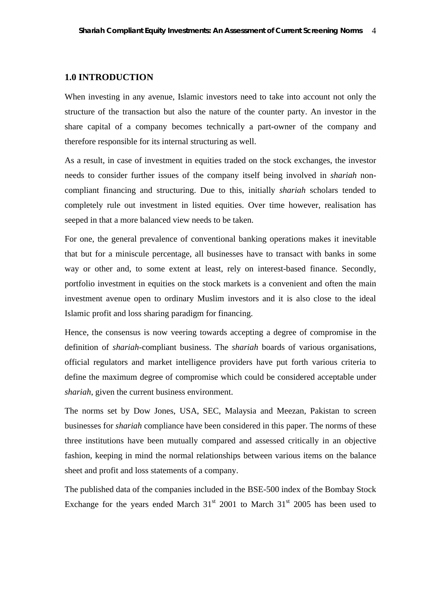#### **1.0 INTRODUCTION**

When investing in any avenue, Islamic investors need to take into account not only the structure of the transaction but also the nature of the counter party. An investor in the share capital of a company becomes technically a part-owner of the company and therefore responsible for its internal structuring as well.

As a result, in case of investment in equities traded on the stock exchanges, the investor needs to consider further issues of the company itself being involved in *shariah* noncompliant financing and structuring. Due to this, initially *shariah* scholars tended to completely rule out investment in listed equities. Over time however, realisation has seeped in that a more balanced view needs to be taken.

For one, the general prevalence of conventional banking operations makes it inevitable that but for a miniscule percentage, all businesses have to transact with banks in some way or other and, to some extent at least, rely on interest-based finance. Secondly, portfolio investment in equities on the stock markets is a convenient and often the main investment avenue open to ordinary Muslim investors and it is also close to the ideal Islamic profit and loss sharing paradigm for financing.

Hence, the consensus is now veering towards accepting a degree of compromise in the definition of *shariah*-compliant business. The *shariah* boards of various organisations, official regulators and market intelligence providers have put forth various criteria to define the maximum degree of compromise which could be considered acceptable under *shariah*, given the current business environment.

The norms set by Dow Jones, USA, SEC, Malaysia and Meezan, Pakistan to screen businesses for *shariah* compliance have been considered in this paper. The norms of these three institutions have been mutually compared and assessed critically in an objective fashion, keeping in mind the normal relationships between various items on the balance sheet and profit and loss statements of a company.

The published data of the companies included in the BSE-500 index of the Bombay Stock Exchange for the years ended March  $31<sup>st</sup>$  2001 to March  $31<sup>st</sup>$  2005 has been used to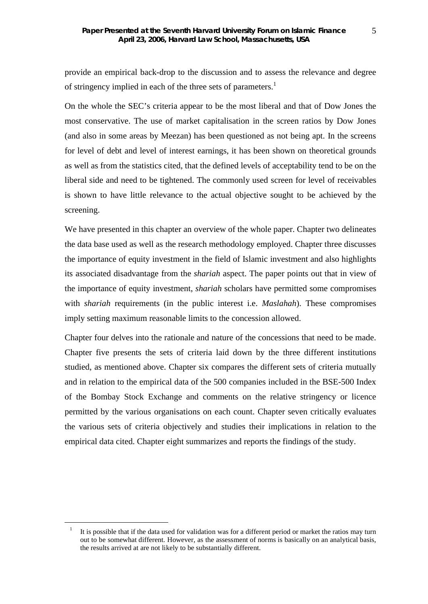provide an empirical back-drop to the discussion and to assess the relevance and degree of stringency implied in each of the three sets of parameters.<sup>1</sup>

On the whole the SEC's criteria appear to be the most liberal and that of Dow Jones the most conservative. The use of market capitalisation in the screen ratios by Dow Jones (and also in some areas by Meezan) has been questioned as not being apt. In the screens for level of debt and level of interest earnings, it has been shown on theoretical grounds as well as from the statistics cited, that the defined levels of acceptability tend to be on the liberal side and need to be tightened. The commonly used screen for level of receivables is shown to have little relevance to the actual objective sought to be achieved by the screening.

We have presented in this chapter an overview of the whole paper. Chapter two delineates the data base used as well as the research methodology employed. Chapter three discusses the importance of equity investment in the field of Islamic investment and also highlights its associated disadvantage from the *shariah* aspect. The paper points out that in view of the importance of equity investment, *shariah* scholars have permitted some compromises with *shariah* requirements (in the public interest i.e. *Maslahah*). These compromises imply setting maximum reasonable limits to the concession allowed.

Chapter four delves into the rationale and nature of the concessions that need to be made. Chapter five presents the sets of criteria laid down by the three different institutions studied, as mentioned above. Chapter six compares the different sets of criteria mutually and in relation to the empirical data of the 500 companies included in the BSE-500 Index of the Bombay Stock Exchange and comments on the relative stringency or licence permitted by the various organisations on each count. Chapter seven critically evaluates the various sets of criteria objectively and studies their implications in relation to the empirical data cited. Chapter eight summarizes and reports the findings of the study.

<sup>1</sup> It is possible that if the data used for validation was for a different period or market the ratios may turn out to be somewhat different. However, as the assessment of norms is basically on an analytical basis, the results arrived at are not likely to be substantially different.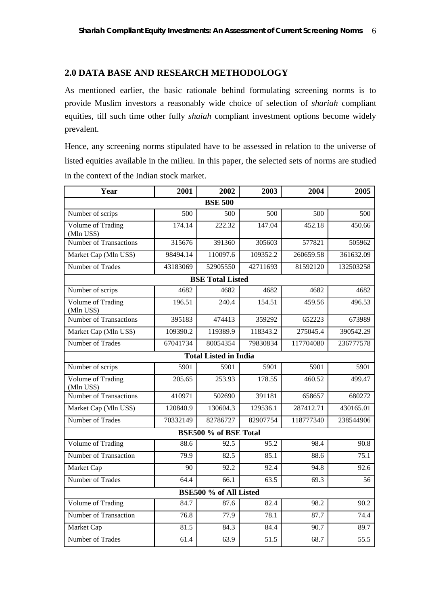## **2.0 DATA BASE AND RESEARCH METHODOLOGY**

As mentioned earlier, the basic rationale behind formulating screening norms is to provide Muslim investors a reasonably wide choice of selection of *shariah* compliant equities, till such time other fully *shaiah* compliant investment options become widely prevalent.

Hence, any screening norms stipulated have to be assessed in relation to the universe of listed equities available in the milieu. In this paper, the selected sets of norms are studied in the context of the Indian stock market.

| Year                                   | 2001             | 2002     | 2003             | 2004      | 2005              |  |
|----------------------------------------|------------------|----------|------------------|-----------|-------------------|--|
| <b>BSE 500</b>                         |                  |          |                  |           |                   |  |
| Number of scrips                       | $\overline{500}$ | 500      | $\overline{500}$ | 500       | 500               |  |
| Volume of Trading<br>(Mln US\$)        | 174.14           | 222.32   | 147.04           | 452.18    | 450.66            |  |
| <b>Number of Transactions</b>          | 315676           | 391360   | 305603           | 577821    | 505962            |  |
| Market Cap (Mln US\$)                  | 98494.14         | 110097.6 | 109352.2         | 260659.58 | 361632.09         |  |
| Number of Trades                       | 43183069         | 52905550 | 42711693         | 81592120  | 132503258         |  |
| <b>BSE Total Listed</b>                |                  |          |                  |           |                   |  |
| Number of scrips                       | 4682             | 4682     | 4682             | 4682      | 4682              |  |
| <b>Volume of Trading</b><br>(Mln US\$) | 196.51           | 240.4    | 154.51           | 459.56    | 496.53            |  |
| <b>Number of Transactions</b>          | 395183           | 474413   | 359292           | 652223    | 673989            |  |
| Market Cap (Mln US\$)                  | 109390.2         | 119389.9 | 118343.2         | 275045.4  | 390542.29         |  |
| Number of Trades                       | 67041734         | 80054354 | 79830834         | 117704080 | 236777578         |  |
| <b>Total Listed in India</b>           |                  |          |                  |           |                   |  |
| Number of scrips                       | 5901             | 5901     | 5901             | 5901      | 5901              |  |
| Volume of Trading<br>(Mln US\$)        | 205.65           | 253.93   | 178.55           | 460.52    | 499.47            |  |
| <b>Number of Transactions</b>          | 410971           | 502690   | 391181           | 658657    | 680272            |  |
| Market Cap (Mln US\$)                  | 120840.9         | 130604.3 | 129536.1         | 287412.71 | 430165.01         |  |
| Number of Trades                       | 70332149         | 82786727 | 82907754         | 118777340 | 238544906         |  |
| BSE500 % of BSE Total                  |                  |          |                  |           |                   |  |
| <b>Volume of Trading</b>               | 88.6             | 92.5     | 95.2             | 98.4      | 90.8              |  |
| Number of Transaction                  | 79.9             | 82.5     | 85.1             | 88.6      | 75.1              |  |
| Market Cap                             | 90               | 92.2     | 92.4             | 94.8      | 92.6              |  |
| Number of Trades                       | 64.4             | 66.1     | 63.5             | 69.3      | 56                |  |
| BSE500 % of All Listed                 |                  |          |                  |           |                   |  |
| Volume of Trading                      | 84.7             | 87.6     | 82.4             | 98.2      | 90.2              |  |
| Number of Transaction                  | 76.8             | 77.9     | 78.1             | 87.7      | 74.4              |  |
| Market Cap                             | 81.5             | 84.3     | 84.4             | 90.7      | 89.7              |  |
| Number of Trades                       | 61.4             | 63.9     | 51.5             | 68.7      | $\overline{55.5}$ |  |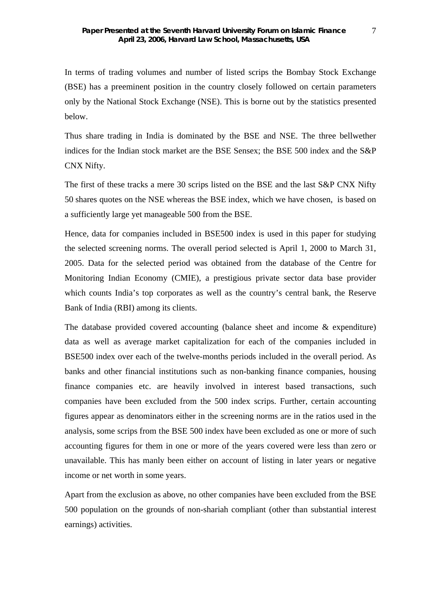In terms of trading volumes and number of listed scrips the Bombay Stock Exchange (BSE) has a preeminent position in the country closely followed on certain parameters only by the National Stock Exchange (NSE). This is borne out by the statistics presented below.

Thus share trading in India is dominated by the BSE and NSE. The three bellwether indices for the Indian stock market are the BSE Sensex; the BSE 500 index and the S&P CNX Nifty.

The first of these tracks a mere 30 scrips listed on the BSE and the last S&P CNX Nifty 50 shares quotes on the NSE whereas the BSE index, which we have chosen, is based on a sufficiently large yet manageable 500 from the BSE.

Hence, data for companies included in BSE500 index is used in this paper for studying the selected screening norms. The overall period selected is April 1, 2000 to March 31, 2005. Data for the selected period was obtained from the database of the Centre for Monitoring Indian Economy (CMIE), a prestigious private sector data base provider which counts India's top corporates as well as the country's central bank, the Reserve Bank of India (RBI) among its clients.

The database provided covered accounting (balance sheet and income & expenditure) data as well as average market capitalization for each of the companies included in BSE500 index over each of the twelve-months periods included in the overall period. As banks and other financial institutions such as non-banking finance companies, housing finance companies etc. are heavily involved in interest based transactions, such companies have been excluded from the 500 index scrips. Further, certain accounting figures appear as denominators either in the screening norms are in the ratios used in the analysis, some scrips from the BSE 500 index have been excluded as one or more of such accounting figures for them in one or more of the years covered were less than zero or unavailable. This has manly been either on account of listing in later years or negative income or net worth in some years.

Apart from the exclusion as above, no other companies have been excluded from the BSE 500 population on the grounds of non-shariah compliant (other than substantial interest earnings) activities.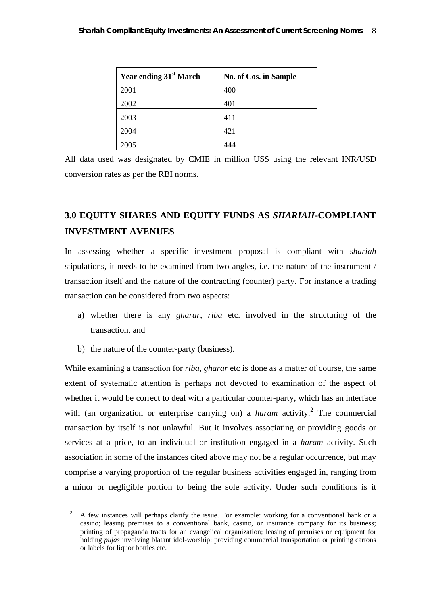| Year ending 31 <sup>st</sup> March | No. of Cos. in Sample |
|------------------------------------|-----------------------|
| 2001                               | 400                   |
| 2002                               | 401                   |
| 2003                               | 411                   |
| 2004                               | 421                   |
| 2005                               |                       |

All data used was designated by CMIE in million US\$ using the relevant INR/USD conversion rates as per the RBI norms.

# **3.0 EQUITY SHARES AND EQUITY FUNDS AS** *SHARIAH***-COMPLIANT INVESTMENT AVENUES**

In assessing whether a specific investment proposal is compliant with *shariah* stipulations, it needs to be examined from two angles, i.e. the nature of the instrument / transaction itself and the nature of the contracting (counter) party. For instance a trading transaction can be considered from two aspects:

- a) whether there is any *gharar*, *riba* etc. involved in the structuring of the transaction, and
- b) the nature of the counter-party (business).

1

While examining a transaction for *riba*, *gharar* etc is done as a matter of course, the same extent of systematic attention is perhaps not devoted to examination of the aspect of whether it would be correct to deal with a particular counter-party, which has an interface with (an organization or enterprise carrying on) a *haram* activity.<sup>2</sup> The commercial transaction by itself is not unlawful. But it involves associating or providing goods or services at a price, to an individual or institution engaged in a *haram* activity. Such association in some of the instances cited above may not be a regular occurrence, but may comprise a varying proportion of the regular business activities engaged in, ranging from a minor or negligible portion to being the sole activity. Under such conditions is it

<sup>2</sup> A few instances will perhaps clarify the issue. For example: working for a conventional bank or a casino; leasing premises to a conventional bank, casino, or insurance company for its business; printing of propaganda tracts for an evangelical organization; leasing of premises or equipment for holding *pujas* involving blatant idol-worship; providing commercial transportation or printing cartons or labels for liquor bottles etc.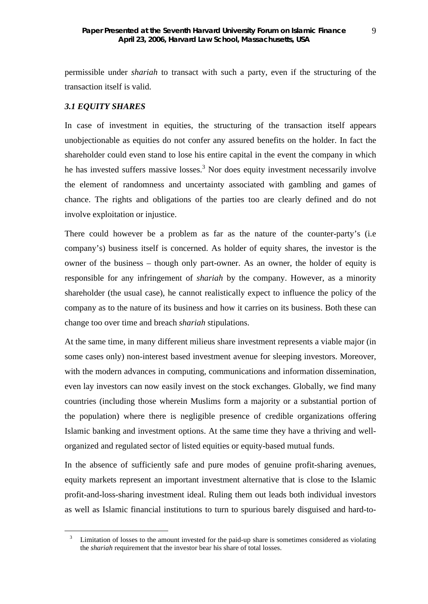permissible under *shariah* to transact with such a party, even if the structuring of the transaction itself is valid.

## *3.1 EQUITY SHARES*

1

In case of investment in equities, the structuring of the transaction itself appears unobjectionable as equities do not confer any assured benefits on the holder. In fact the shareholder could even stand to lose his entire capital in the event the company in which he has invested suffers massive losses.<sup>3</sup> Nor does equity investment necessarily involve the element of randomness and uncertainty associated with gambling and games of chance. The rights and obligations of the parties too are clearly defined and do not involve exploitation or injustice.

There could however be a problem as far as the nature of the counter-party's (i.e company's) business itself is concerned. As holder of equity shares, the investor is the owner of the business – though only part-owner. As an owner, the holder of equity is responsible for any infringement of *shariah* by the company. However, as a minority shareholder (the usual case), he cannot realistically expect to influence the policy of the company as to the nature of its business and how it carries on its business. Both these can change too over time and breach *shariah* stipulations.

At the same time, in many different milieus share investment represents a viable major (in some cases only) non-interest based investment avenue for sleeping investors. Moreover, with the modern advances in computing, communications and information dissemination, even lay investors can now easily invest on the stock exchanges. Globally, we find many countries (including those wherein Muslims form a majority or a substantial portion of the population) where there is negligible presence of credible organizations offering Islamic banking and investment options. At the same time they have a thriving and wellorganized and regulated sector of listed equities or equity-based mutual funds.

In the absence of sufficiently safe and pure modes of genuine profit-sharing avenues, equity markets represent an important investment alternative that is close to the Islamic profit-and-loss-sharing investment ideal. Ruling them out leads both individual investors as well as Islamic financial institutions to turn to spurious barely disguised and hard-to-

<sup>&</sup>lt;sup>3</sup> Limitation of losses to the amount invested for the paid-up share is sometimes considered as violating the *shariah* requirement that the investor bear his share of total losses.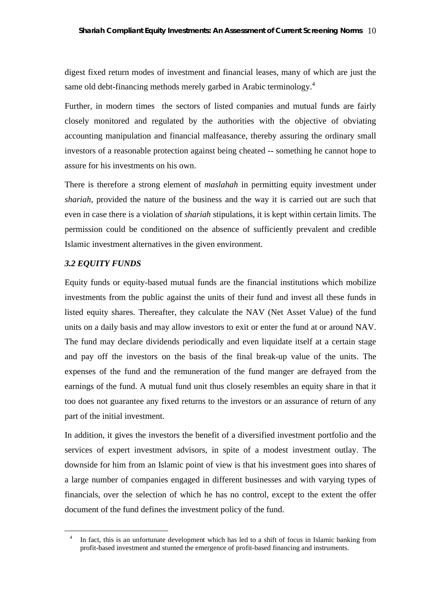digest fixed return modes of investment and financial leases, many of which are just the same old debt-financing methods merely garbed in Arabic terminology.<sup>4</sup>

Further, in modern times the sectors of listed companies and mutual funds are fairly closely monitored and regulated by the authorities with the objective of obviating accounting manipulation and financial malfeasance, thereby assuring the ordinary small investors of a reasonable protection against being cheated -- something he cannot hope to assure for his investments on his own.

There is therefore a strong element of *maslahah* in permitting equity investment under *shariah*, provided the nature of the business and the way it is carried out are such that even in case there is a violation of *shariah* stipulations, it is kept within certain limits. The permission could be conditioned on the absence of sufficiently prevalent and credible Islamic investment alternatives in the given environment.

### *3.2 EQUITY FUNDS*

1

Equity funds or equity-based mutual funds are the financial institutions which mobilize investments from the public against the units of their fund and invest all these funds in listed equity shares. Thereafter, they calculate the NAV (Net Asset Value) of the fund units on a daily basis and may allow investors to exit or enter the fund at or around NAV. The fund may declare dividends periodically and even liquidate itself at a certain stage and pay off the investors on the basis of the final break-up value of the units. The expenses of the fund and the remuneration of the fund manger are defrayed from the earnings of the fund. A mutual fund unit thus closely resembles an equity share in that it too does not guarantee any fixed returns to the investors or an assurance of return of any part of the initial investment.

In addition, it gives the investors the benefit of a diversified investment portfolio and the services of expert investment advisors, in spite of a modest investment outlay. The downside for him from an Islamic point of view is that his investment goes into shares of a large number of companies engaged in different businesses and with varying types of financials, over the selection of which he has no control, except to the extent the offer document of the fund defines the investment policy of the fund.

<sup>&</sup>lt;sup>4</sup> In fact, this is an unfortunate development which has led to a shift of focus in Islamic banking from profit-based investment and stunted the emergence of profit-based financing and instruments.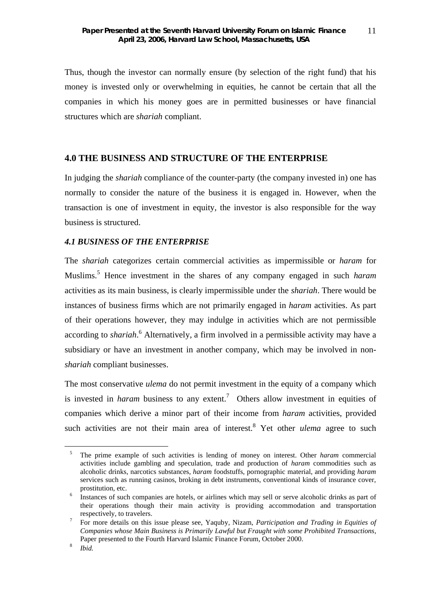Thus, though the investor can normally ensure (by selection of the right fund) that his money is invested only or overwhelming in equities, he cannot be certain that all the companies in which his money goes are in permitted businesses or have financial structures which are *shariah* compliant.

### **4.0 THE BUSINESS AND STRUCTURE OF THE ENTERPRISE**

In judging the *shariah* compliance of the counter-party (the company invested in) one has normally to consider the nature of the business it is engaged in. However, when the transaction is one of investment in equity, the investor is also responsible for the way business is structured.

#### *4.1 BUSINESS OF THE ENTERPRISE*

The *shariah* categorizes certain commercial activities as impermissible or *haram* for Muslims.5 Hence investment in the shares of any company engaged in such *haram* activities as its main business, is clearly impermissible under the *shariah*. There would be instances of business firms which are not primarily engaged in *haram* activities. As part of their operations however, they may indulge in activities which are not permissible according to *shariah*.<sup>6</sup> Alternatively, a firm involved in a permissible activity may have a subsidiary or have an investment in another company, which may be involved in non*shariah* compliant businesses.

The most conservative *ulema* do not permit investment in the equity of a company which is invested in *haram* business to any extent.<sup>7</sup> Others allow investment in equities of companies which derive a minor part of their income from *haram* activities, provided such activities are not their main area of interest.<sup>8</sup> Yet other *ulema* agree to such

<sup>5</sup> The prime example of such activities is lending of money on interest. Other *haram* commercial activities include gambling and speculation, trade and production of *haram* commodities such as alcoholic drinks, narcotics substances, *haram* foodstuffs, pornographic material, and providing *haram* services such as running casinos, broking in debt instruments, conventional kinds of insurance cover, prostitution, etc.

Instances of such companies are hotels, or airlines which may sell or serve alcoholic drinks as part of their operations though their main activity is providing accommodation and transportation respectively, to travelers.

<sup>7</sup> For more details on this issue please see, Yaquby, Nizam, *Participation and Trading in Equities of Companies whose Main Business is Primarily Lawful but Fraught with some Prohibited Transactions*, Paper presented to the Fourth Harvard Islamic Finance Forum, October 2000.

<sup>8</sup> *Ibid.*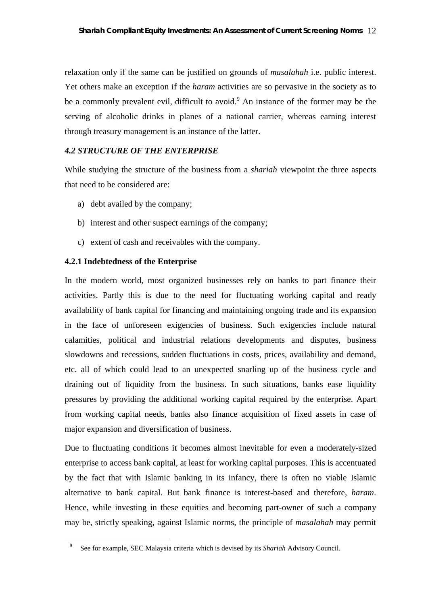relaxation only if the same can be justified on grounds of *masalahah* i.e. public interest. Yet others make an exception if the *haram* activities are so pervasive in the society as to be a commonly prevalent evil, difficult to avoid.<sup>9</sup> An instance of the former may be the serving of alcoholic drinks in planes of a national carrier, whereas earning interest through treasury management is an instance of the latter.

## *4.2 STRUCTURE OF THE ENTERPRISE*

While studying the structure of the business from a *shariah* viewpoint the three aspects that need to be considered are:

- a) debt availed by the company;
- b) interest and other suspect earnings of the company;
- c) extent of cash and receivables with the company.

## **4.2.1 Indebtedness of the Enterprise**

1

In the modern world, most organized businesses rely on banks to part finance their activities. Partly this is due to the need for fluctuating working capital and ready availability of bank capital for financing and maintaining ongoing trade and its expansion in the face of unforeseen exigencies of business. Such exigencies include natural calamities, political and industrial relations developments and disputes, business slowdowns and recessions, sudden fluctuations in costs, prices, availability and demand, etc. all of which could lead to an unexpected snarling up of the business cycle and draining out of liquidity from the business. In such situations, banks ease liquidity pressures by providing the additional working capital required by the enterprise. Apart from working capital needs, banks also finance acquisition of fixed assets in case of major expansion and diversification of business.

Due to fluctuating conditions it becomes almost inevitable for even a moderately-sized enterprise to access bank capital, at least for working capital purposes. This is accentuated by the fact that with Islamic banking in its infancy, there is often no viable Islamic alternative to bank capital. But bank finance is interest-based and therefore, *haram*. Hence, while investing in these equities and becoming part-owner of such a company may be, strictly speaking, against Islamic norms, the principle of *masalahah* may permit

<sup>9</sup> See for example, SEC Malaysia criteria which is devised by its *Shariah* Advisory Council.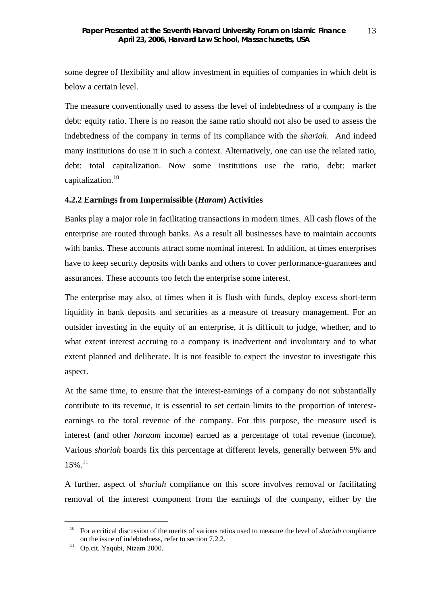some degree of flexibility and allow investment in equities of companies in which debt is below a certain level.

The measure conventionally used to assess the level of indebtedness of a company is the debt: equity ratio. There is no reason the same ratio should not also be used to assess the indebtedness of the company in terms of its compliance with the *shariah*. And indeed many institutions do use it in such a context. Alternatively, one can use the related ratio, debt: total capitalization. Now some institutions use the ratio, debt: market capitalization.<sup>10</sup>

## **4.2.2 Earnings from Impermissible (***Haram***) Activities**

Banks play a major role in facilitating transactions in modern times. All cash flows of the enterprise are routed through banks. As a result all businesses have to maintain accounts with banks. These accounts attract some nominal interest. In addition, at times enterprises have to keep security deposits with banks and others to cover performance-guarantees and assurances. These accounts too fetch the enterprise some interest.

The enterprise may also, at times when it is flush with funds, deploy excess short-term liquidity in bank deposits and securities as a measure of treasury management. For an outsider investing in the equity of an enterprise, it is difficult to judge, whether, and to what extent interest accruing to a company is inadvertent and involuntary and to what extent planned and deliberate. It is not feasible to expect the investor to investigate this aspect.

At the same time, to ensure that the interest-earnings of a company do not substantially contribute to its revenue, it is essential to set certain limits to the proportion of interestearnings to the total revenue of the company. For this purpose, the measure used is interest (and other *haraam* income) earned as a percentage of total revenue (income). Various *shariah* boards fix this percentage at different levels, generally between 5% and  $15\%$ <sup>11</sup>

A further, aspect of *shariah* compliance on this score involves removal or facilitating removal of the interest component from the earnings of the company, either by the

<sup>10</sup> For a critical discussion of the merits of various ratios used to measure the level of *shariah* compliance on the issue of indebtedness, refer to section 7.2.2.

<sup>&</sup>lt;sup>11</sup> Op.cit. Yaqubi, Nizam 2000.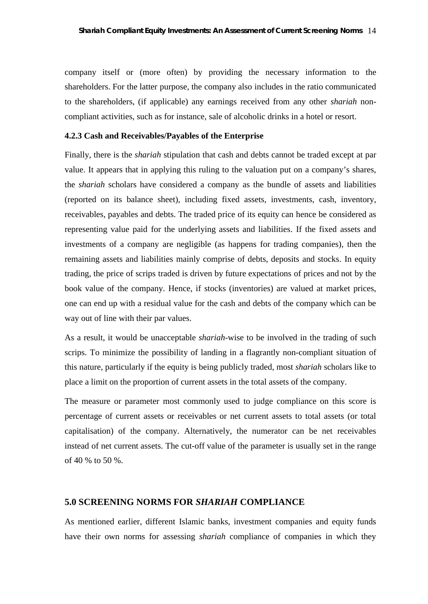company itself or (more often) by providing the necessary information to the shareholders. For the latter purpose, the company also includes in the ratio communicated to the shareholders, (if applicable) any earnings received from any other *shariah* noncompliant activities, such as for instance, sale of alcoholic drinks in a hotel or resort.

#### **4.2.3 Cash and Receivables/Payables of the Enterprise**

Finally, there is the *shariah* stipulation that cash and debts cannot be traded except at par value. It appears that in applying this ruling to the valuation put on a company's shares, the *shariah* scholars have considered a company as the bundle of assets and liabilities (reported on its balance sheet), including fixed assets, investments, cash, inventory, receivables, payables and debts. The traded price of its equity can hence be considered as representing value paid for the underlying assets and liabilities. If the fixed assets and investments of a company are negligible (as happens for trading companies), then the remaining assets and liabilities mainly comprise of debts, deposits and stocks. In equity trading, the price of scrips traded is driven by future expectations of prices and not by the book value of the company. Hence, if stocks (inventories) are valued at market prices, one can end up with a residual value for the cash and debts of the company which can be way out of line with their par values.

As a result, it would be unacceptable *shariah*-wise to be involved in the trading of such scrips. To minimize the possibility of landing in a flagrantly non-compliant situation of this nature, particularly if the equity is being publicly traded, most *shariah* scholars like to place a limit on the proportion of current assets in the total assets of the company.

The measure or parameter most commonly used to judge compliance on this score is percentage of current assets or receivables or net current assets to total assets (or total capitalisation) of the company. Alternatively, the numerator can be net receivables instead of net current assets. The cut-off value of the parameter is usually set in the range of 40 % to 50 %.

#### **5.0 SCREENING NORMS FOR** *SHARIAH* **COMPLIANCE**

As mentioned earlier, different Islamic banks, investment companies and equity funds have their own norms for assessing *shariah* compliance of companies in which they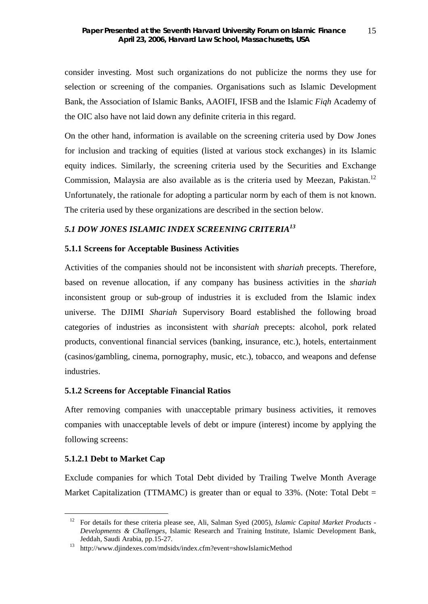consider investing. Most such organizations do not publicize the norms they use for selection or screening of the companies. Organisations such as Islamic Development Bank, the Association of Islamic Banks, AAOIFI, IFSB and the Islamic *Fiqh* Academy of the OIC also have not laid down any definite criteria in this regard.

On the other hand, information is available on the screening criteria used by Dow Jones for inclusion and tracking of equities (listed at various stock exchanges) in its Islamic equity indices. Similarly, the screening criteria used by the Securities and Exchange Commission, Malaysia are also available as is the criteria used by Meezan, Pakistan.<sup>12</sup> Unfortunately, the rationale for adopting a particular norm by each of them is not known. The criteria used by these organizations are described in the section below.

## *5.1 DOW JONES ISLAMIC INDEX SCREENING CRITERIA<sup>13</sup>*

### **5.1.1 Screens for Acceptable Business Activities**

Activities of the companies should not be inconsistent with *shariah* precepts. Therefore, based on revenue allocation, if any company has business activities in the *shariah* inconsistent group or sub-group of industries it is excluded from the Islamic index universe. The DJIMI *Shariah* Supervisory Board established the following broad categories of industries as inconsistent with *shariah* precepts: alcohol, pork related products, conventional financial services (banking, insurance, etc.), hotels, entertainment (casinos/gambling, cinema, pornography, music, etc.), tobacco, and weapons and defense industries.

### **5.1.2 Screens for Acceptable Financial Ratios**

After removing companies with unacceptable primary business activities, it removes companies with unacceptable levels of debt or impure (interest) income by applying the following screens:

### **5.1.2.1 Debt to Market Cap**

1

Exclude companies for which Total Debt divided by Trailing Twelve Month Average Market Capitalization (TTMAMC) is greater than or equal to  $33\%$ . (Note: Total Debt =

<sup>12</sup> For details for these criteria please see, Ali, Salman Syed (2005), *Islamic Capital Market Products - Developments & Challenges*, Islamic Research and Training Institute, Islamic Development Bank, Jeddah, Saudi Arabia, pp.15-27.

<sup>13</sup> http://www.djindexes.com/mdsidx/index.cfm?event=showIslamicMethod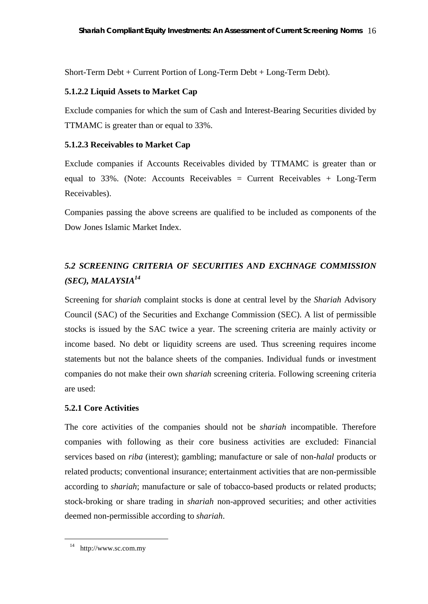Short-Term Debt + Current Portion of Long-Term Debt + Long-Term Debt).

## **5.1.2.2 Liquid Assets to Market Cap**

Exclude companies for which the sum of Cash and Interest-Bearing Securities divided by TTMAMC is greater than or equal to 33%.

## **5.1.2.3 Receivables to Market Cap**

Exclude companies if Accounts Receivables divided by TTMAMC is greater than or equal to 33%. (Note: Accounts Receivables = Current Receivables + Long-Term Receivables).

Companies passing the above screens are qualified to be included as components of the Dow Jones Islamic Market Index.

# *5.2 SCREENING CRITERIA OF SECURITIES AND EXCHNAGE COMMISSION (SEC), MALAYSIA14*

Screening for *shariah* complaint stocks is done at central level by the *Shariah* Advisory Council (SAC) of the Securities and Exchange Commission (SEC). A list of permissible stocks is issued by the SAC twice a year. The screening criteria are mainly activity or income based. No debt or liquidity screens are used. Thus screening requires income statements but not the balance sheets of the companies. Individual funds or investment companies do not make their own *shariah* screening criteria. Following screening criteria are used:

## **5.2.1 Core Activities**

The core activities of the companies should not be *shariah* incompatible. Therefore companies with following as their core business activities are excluded: Financial services based on *riba* (interest); gambling; manufacture or sale of non-*halal* products or related products; conventional insurance; entertainment activities that are non-permissible according to *shariah*; manufacture or sale of tobacco-based products or related products; stock-broking or share trading in *shariah* non-approved securities; and other activities deemed non-permissible according to *shariah*.

<sup>14</sup> http://www.sc.com.my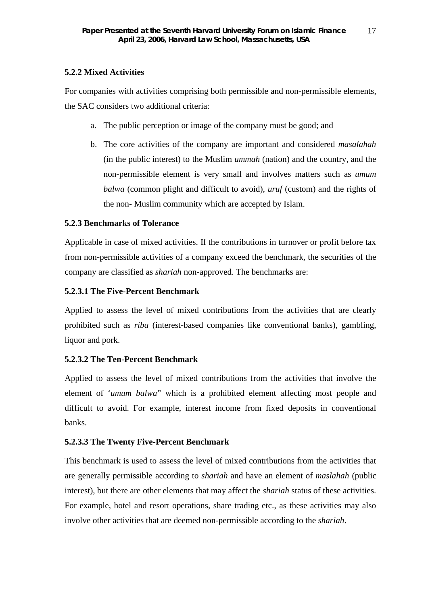## **5.2.2 Mixed Activities**

For companies with activities comprising both permissible and non-permissible elements, the SAC considers two additional criteria:

- a. The public perception or image of the company must be good; and
- b. The core activities of the company are important and considered *masalahah* (in the public interest) to the Muslim *ummah* (nation) and the country, and the non-permissible element is very small and involves matters such as *umum balwa* (common plight and difficult to avoid), *uruf* (custom) and the rights of the non- Muslim community which are accepted by Islam.

## **5.2.3 Benchmarks of Tolerance**

Applicable in case of mixed activities. If the contributions in turnover or profit before tax from non-permissible activities of a company exceed the benchmark, the securities of the company are classified as *shariah* non-approved. The benchmarks are:

## **5.2.3.1 The Five-Percent Benchmark**

Applied to assess the level of mixed contributions from the activities that are clearly prohibited such as *riba* (interest-based companies like conventional banks), gambling, liquor and pork.

## **5.2.3.2 The Ten-Percent Benchmark**

Applied to assess the level of mixed contributions from the activities that involve the element of '*umum balwa*" which is a prohibited element affecting most people and difficult to avoid. For example, interest income from fixed deposits in conventional banks.

## **5.2.3.3 The Twenty Five-Percent Benchmark**

This benchmark is used to assess the level of mixed contributions from the activities that are generally permissible according to *shariah* and have an element of *maslahah* (public interest), but there are other elements that may affect the *shariah* status of these activities. For example, hotel and resort operations, share trading etc., as these activities may also involve other activities that are deemed non-permissible according to the *shariah*.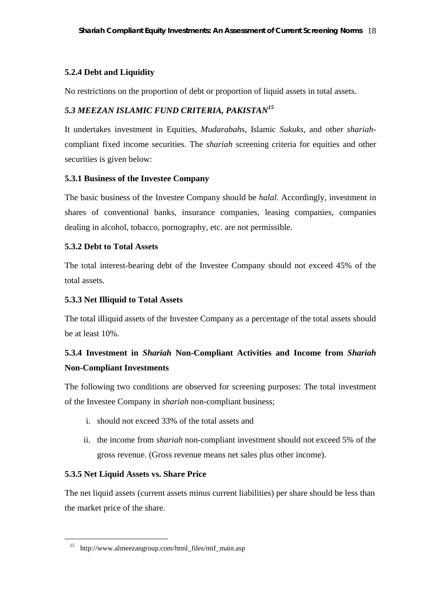## **5.2.4 Debt and Liquidity**

No restrictions on the proportion of debt or proportion of liquid assets in total assets.

## *5.3 MEEZAN ISLAMIC FUND CRITERIA, PAKISTAN<sup>15</sup>*

It undertakes investment in Equities, *Mudarabahs*, Islamic *Sukuks*, and other *shariah*compliant fixed income securities. The *shariah* screening criteria for equities and other securities is given below:

## **5.3.1 Business of the Investee Company**

The basic business of the Investee Company should be *halal*. Accordingly, investment in shares of conventional banks, insurance companies, leasing companies, companies dealing in alcohol, tobacco, pornography, etc. are not permissible.

## **5.3.2 Debt to Total Assets**

The total interest-bearing debt of the Investee Company should not exceed 45% of the total assets.

## **5.3.3 Net Illiquid to Total Assets**

The total illiquid assets of the Investee Company as a percentage of the total assets should be at least 10%.

# **5.3.4 Investment in** *Shariah* **Non-Compliant Activities and Income from** *Shariah* **Non-Compliant Investments**

The following two conditions are observed for screening purposes: The total investment of the Investee Company in *shariah* non-compliant business;

- i. should not exceed 33% of the total assets and
- ii. the income from *shariah* non-compliant investment should not exceed 5% of the gross revenue. (Gross revenue means net sales plus other income).

## **5.3.5 Net Liquid Assets vs. Share Price**

1

The net liquid assets (current assets minus current liabilities) per share should be less than the market price of the share.

<sup>15</sup> http://www.almeezangroup.com/html\_files/mif\_main.asp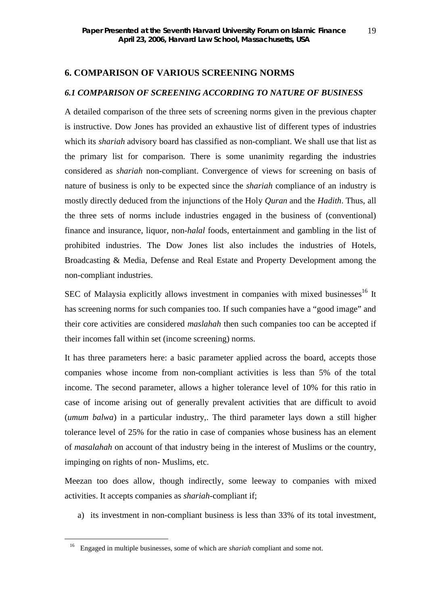## **6. COMPARISON OF VARIOUS SCREENING NORMS**

## *6.1 COMPARISON OF SCREENING ACCORDING TO NATURE OF BUSINESS*

A detailed comparison of the three sets of screening norms given in the previous chapter is instructive. Dow Jones has provided an exhaustive list of different types of industries which its *shariah* advisory board has classified as non-compliant. We shall use that list as the primary list for comparison. There is some unanimity regarding the industries considered as *shariah* non-compliant. Convergence of views for screening on basis of nature of business is only to be expected since the *shariah* compliance of an industry is mostly directly deduced from the injunctions of the Holy *Quran* and the *Hadith*. Thus, all the three sets of norms include industries engaged in the business of (conventional) finance and insurance, liquor, non-*halal* foods, entertainment and gambling in the list of prohibited industries. The Dow Jones list also includes the industries of Hotels, Broadcasting & Media, Defense and Real Estate and Property Development among the non-compliant industries.

SEC of Malaysia explicitly allows investment in companies with mixed businesses<sup>16</sup> It has screening norms for such companies too. If such companies have a "good image" and their core activities are considered *maslahah* then such companies too can be accepted if their incomes fall within set (income screening) norms.

It has three parameters here: a basic parameter applied across the board, accepts those companies whose income from non-compliant activities is less than 5% of the total income. The second parameter, allows a higher tolerance level of 10% for this ratio in case of income arising out of generally prevalent activities that are difficult to avoid (*umum balwa*) in a particular industry,. The third parameter lays down a still higher tolerance level of 25% for the ratio in case of companies whose business has an element of *masalahah* on account of that industry being in the interest of Muslims or the country, impinging on rights of non- Muslims, etc.

Meezan too does allow, though indirectly, some leeway to companies with mixed activities. It accepts companies as *shariah*-compliant if;

a) its investment in non-compliant business is less than 33% of its total investment,

<sup>16</sup> Engaged in multiple businesses, some of which are *shariah* compliant and some not.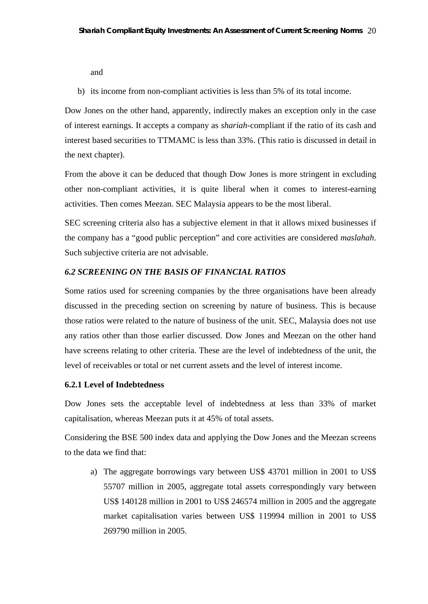and

b) its income from non-compliant activities is less than 5% of its total income.

Dow Jones on the other hand, apparently, indirectly makes an exception only in the case of interest earnings. It accepts a company as *shariah*-compliant if the ratio of its cash and interest based securities to TTMAMC is less than 33%. (This ratio is discussed in detail in the next chapter).

From the above it can be deduced that though Dow Jones is more stringent in excluding other non-compliant activities, it is quite liberal when it comes to interest-earning activities. Then comes Meezan. SEC Malaysia appears to be the most liberal.

SEC screening criteria also has a subjective element in that it allows mixed businesses if the company has a "good public perception" and core activities are considered *maslahah*. Such subjective criteria are not advisable.

## *6.2 SCREENING ON THE BASIS OF FINANCIAL RATIOS*

Some ratios used for screening companies by the three organisations have been already discussed in the preceding section on screening by nature of business. This is because those ratios were related to the nature of business of the unit. SEC, Malaysia does not use any ratios other than those earlier discussed. Dow Jones and Meezan on the other hand have screens relating to other criteria. These are the level of indebtedness of the unit, the level of receivables or total or net current assets and the level of interest income.

### **6.2.1 Level of Indebtedness**

Dow Jones sets the acceptable level of indebtedness at less than 33% of market capitalisation, whereas Meezan puts it at 45% of total assets.

Considering the BSE 500 index data and applying the Dow Jones and the Meezan screens to the data we find that:

a) The aggregate borrowings vary between US\$ 43701 million in 2001 to US\$ 55707 million in 2005, aggregate total assets correspondingly vary between US\$ 140128 million in 2001 to US\$ 246574 million in 2005 and the aggregate market capitalisation varies between US\$ 119994 million in 2001 to US\$ 269790 million in 2005.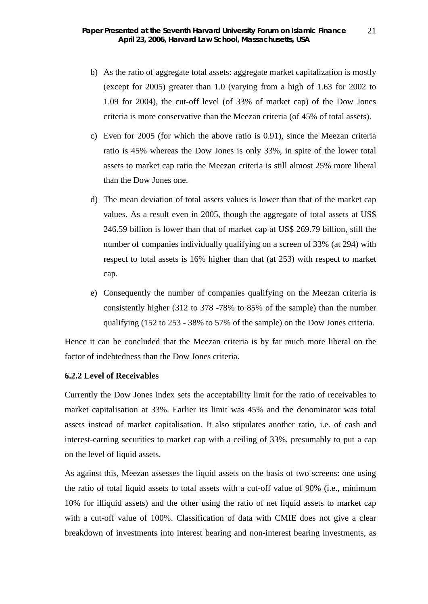- b) As the ratio of aggregate total assets: aggregate market capitalization is mostly (except for 2005) greater than 1.0 (varying from a high of 1.63 for 2002 to 1.09 for 2004), the cut-off level (of 33% of market cap) of the Dow Jones criteria is more conservative than the Meezan criteria (of 45% of total assets).
- c) Even for 2005 (for which the above ratio is 0.91), since the Meezan criteria ratio is 45% whereas the Dow Jones is only 33%, in spite of the lower total assets to market cap ratio the Meezan criteria is still almost 25% more liberal than the Dow Jones one.
- d) The mean deviation of total assets values is lower than that of the market cap values. As a result even in 2005, though the aggregate of total assets at US\$ 246.59 billion is lower than that of market cap at US\$ 269.79 billion, still the number of companies individually qualifying on a screen of 33% (at 294) with respect to total assets is 16% higher than that (at 253) with respect to market cap.
- e) Consequently the number of companies qualifying on the Meezan criteria is consistently higher (312 to 378 -78% to 85% of the sample) than the number qualifying (152 to 253 - 38% to 57% of the sample) on the Dow Jones criteria.

Hence it can be concluded that the Meezan criteria is by far much more liberal on the factor of indebtedness than the Dow Jones criteria.

### **6.2.2 Level of Receivables**

Currently the Dow Jones index sets the acceptability limit for the ratio of receivables to market capitalisation at 33%. Earlier its limit was 45% and the denominator was total assets instead of market capitalisation. It also stipulates another ratio, i.e. of cash and interest-earning securities to market cap with a ceiling of 33%, presumably to put a cap on the level of liquid assets.

As against this, Meezan assesses the liquid assets on the basis of two screens: one using the ratio of total liquid assets to total assets with a cut-off value of 90% (i.e., minimum 10% for illiquid assets) and the other using the ratio of net liquid assets to market cap with a cut-off value of 100%. Classification of data with CMIE does not give a clear breakdown of investments into interest bearing and non-interest bearing investments, as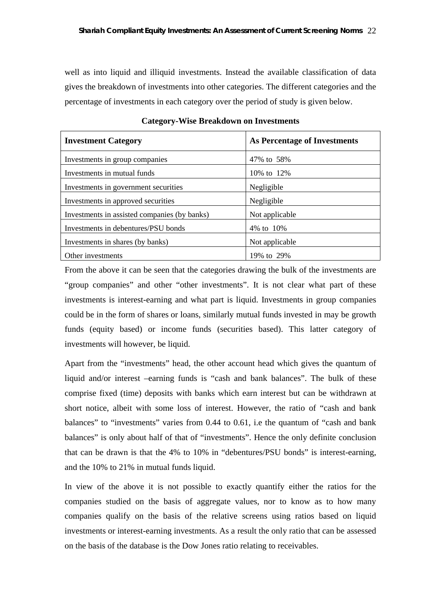well as into liquid and illiquid investments. Instead the available classification of data gives the breakdown of investments into other categories. The different categories and the percentage of investments in each category over the period of study is given below.

| <b>Investment Category</b>                   | As Percentage of Investments |  |  |
|----------------------------------------------|------------------------------|--|--|
| Investments in group companies               | 47\% to 58\%                 |  |  |
| Investments in mutual funds                  | 10% to 12%                   |  |  |
| Investments in government securities         | Negligible                   |  |  |
| Investments in approved securities           | Negligible                   |  |  |
| Investments in assisted companies (by banks) | Not applicable               |  |  |
| Investments in debentures/PSU bonds          | 4\% to 10\%                  |  |  |
| Investments in shares (by banks)             | Not applicable               |  |  |
| Other investments                            | 19% to 29%                   |  |  |

**Category-Wise Breakdown on Investments**

From the above it can be seen that the categories drawing the bulk of the investments are "group companies" and other "other investments". It is not clear what part of these investments is interest-earning and what part is liquid. Investments in group companies could be in the form of shares or loans, similarly mutual funds invested in may be growth funds (equity based) or income funds (securities based). This latter category of investments will however, be liquid.

Apart from the "investments" head, the other account head which gives the quantum of liquid and/or interest –earning funds is "cash and bank balances". The bulk of these comprise fixed (time) deposits with banks which earn interest but can be withdrawn at short notice, albeit with some loss of interest. However, the ratio of "cash and bank balances" to "investments" varies from 0.44 to 0.61, i.e the quantum of "cash and bank balances" is only about half of that of "investments". Hence the only definite conclusion that can be drawn is that the 4% to 10% in "debentures/PSU bonds" is interest-earning, and the 10% to 21% in mutual funds liquid.

In view of the above it is not possible to exactly quantify either the ratios for the companies studied on the basis of aggregate values, nor to know as to how many companies qualify on the basis of the relative screens using ratios based on liquid investments or interest-earning investments. As a result the only ratio that can be assessed on the basis of the database is the Dow Jones ratio relating to receivables.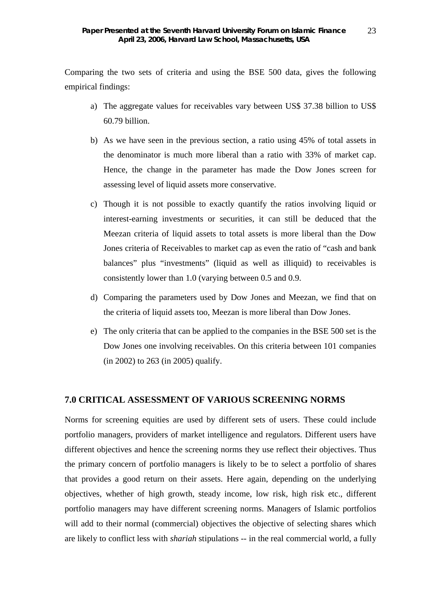Comparing the two sets of criteria and using the BSE 500 data, gives the following empirical findings:

- a) The aggregate values for receivables vary between US\$ 37.38 billion to US\$ 60.79 billion.
- b) As we have seen in the previous section, a ratio using 45% of total assets in the denominator is much more liberal than a ratio with 33% of market cap. Hence, the change in the parameter has made the Dow Jones screen for assessing level of liquid assets more conservative.
- c) Though it is not possible to exactly quantify the ratios involving liquid or interest-earning investments or securities, it can still be deduced that the Meezan criteria of liquid assets to total assets is more liberal than the Dow Jones criteria of Receivables to market cap as even the ratio of "cash and bank balances" plus "investments" (liquid as well as illiquid) to receivables is consistently lower than 1.0 (varying between 0.5 and 0.9.
- d) Comparing the parameters used by Dow Jones and Meezan, we find that on the criteria of liquid assets too, Meezan is more liberal than Dow Jones.
- e) The only criteria that can be applied to the companies in the BSE 500 set is the Dow Jones one involving receivables. On this criteria between 101 companies (in 2002) to 263 (in 2005) qualify.

## **7.0 CRITICAL ASSESSMENT OF VARIOUS SCREENING NORMS**

Norms for screening equities are used by different sets of users. These could include portfolio managers, providers of market intelligence and regulators. Different users have different objectives and hence the screening norms they use reflect their objectives. Thus the primary concern of portfolio managers is likely to be to select a portfolio of shares that provides a good return on their assets. Here again, depending on the underlying objectives, whether of high growth, steady income, low risk, high risk etc., different portfolio managers may have different screening norms. Managers of Islamic portfolios will add to their normal (commercial) objectives the objective of selecting shares which are likely to conflict less with *shariah* stipulations -- in the real commercial world, a fully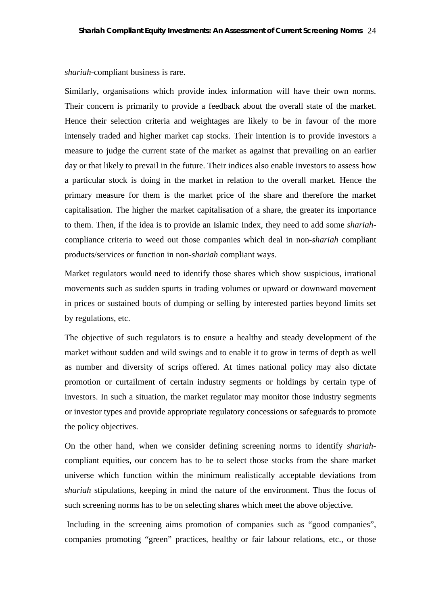*shariah*-compliant business is rare.

Similarly, organisations which provide index information will have their own norms. Their concern is primarily to provide a feedback about the overall state of the market. Hence their selection criteria and weightages are likely to be in favour of the more intensely traded and higher market cap stocks. Their intention is to provide investors a measure to judge the current state of the market as against that prevailing on an earlier day or that likely to prevail in the future. Their indices also enable investors to assess how a particular stock is doing in the market in relation to the overall market. Hence the primary measure for them is the market price of the share and therefore the market capitalisation. The higher the market capitalisation of a share, the greater its importance to them. Then, if the idea is to provide an Islamic Index, they need to add some *shariah*compliance criteria to weed out those companies which deal in non-*shariah* compliant products/services or function in non-*shariah* compliant ways.

Market regulators would need to identify those shares which show suspicious, irrational movements such as sudden spurts in trading volumes or upward or downward movement in prices or sustained bouts of dumping or selling by interested parties beyond limits set by regulations, etc.

The objective of such regulators is to ensure a healthy and steady development of the market without sudden and wild swings and to enable it to grow in terms of depth as well as number and diversity of scrips offered. At times national policy may also dictate promotion or curtailment of certain industry segments or holdings by certain type of investors. In such a situation, the market regulator may monitor those industry segments or investor types and provide appropriate regulatory concessions or safeguards to promote the policy objectives.

On the other hand, when we consider defining screening norms to identify *shariah*compliant equities, our concern has to be to select those stocks from the share market universe which function within the minimum realistically acceptable deviations from *shariah* stipulations, keeping in mind the nature of the environment. Thus the focus of such screening norms has to be on selecting shares which meet the above objective.

Including in the screening aims promotion of companies such as "good companies", companies promoting "green" practices, healthy or fair labour relations, etc., or those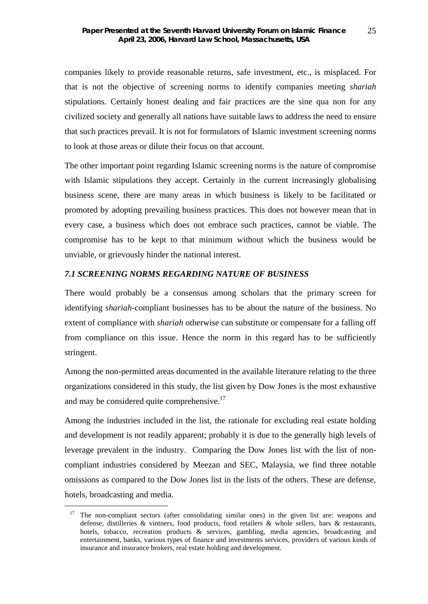companies likely to provide reasonable returns, safe investment, etc., is misplaced. For that is not the objective of screening norms to identify companies meeting *shariah* stipulations. Certainly honest dealing and fair practices are the sine qua non for any civilized society and generally all nations have suitable laws to address the need to ensure that such practices prevail. It is not for formulators of Islamic investment screening norms to look at those areas or dilute their focus on that account.

The other important point regarding Islamic screening norms is the nature of compromise with Islamic stipulations they accept. Certainly in the current increasingly globalising business scene, there are many areas in which business is likely to be facilitated or promoted by adopting prevailing business practices. This does not however mean that in every case, a business which does not embrace such practices, cannot be viable. The compromise has to be kept to that minimum without which the business would be unviable, or grievously hinder the national interest.

#### *7.1 SCREENING NORMS REGARDING NATURE OF BUSINESS*

There would probably be a consensus among scholars that the primary screen for identifying *shariah*-compliant businesses has to be about the nature of the business. No extent of compliance with *shariah* otherwise can substitute or compensate for a falling off from compliance on this issue. Hence the norm in this regard has to be sufficiently stringent.

Among the non-permitted areas documented in the available literature relating to the three organizations considered in this study, the list given by Dow Jones is the most exhaustive and may be considered quite comprehensive.<sup>17</sup>

Among the industries included in the list, the rationale for excluding real estate holding and development is not readily apparent; probably it is due to the generally high levels of leverage prevalent in the industry. Comparing the Dow Jones list with the list of noncompliant industries considered by Meezan and SEC, Malaysia, we find three notable omissions as compared to the Dow Jones list in the lists of the others. These are defense, hotels, broadcasting and media.

<sup>&</sup>lt;sup>17</sup> The non-compliant sectors (after consolidating similar ones) in the given list are: weapons and defense, distilleries & vintners, food products, food retailers & whole sellers, bars & restaurants, hotels, tobacco, recreation products & services, gambling, media agencies, broadcasting and entertainment, banks, various types of finance and investments services, providers of various kinds of insurance and insurance brokers, real estate holding and development.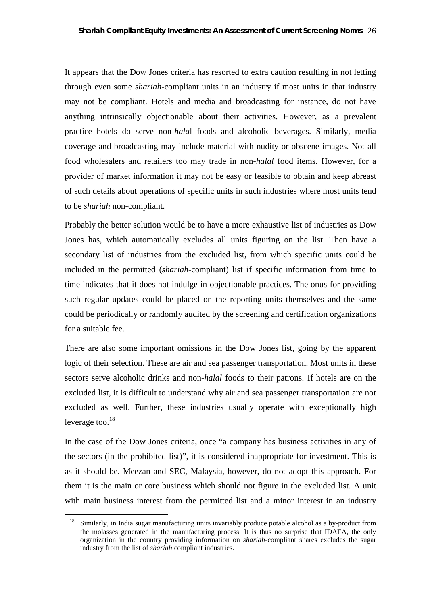It appears that the Dow Jones criteria has resorted to extra caution resulting in not letting through even some *shariah*-compliant units in an industry if most units in that industry may not be compliant. Hotels and media and broadcasting for instance, do not have anything intrinsically objectionable about their activities. However, as a prevalent practice hotels do serve non-*hala*l foods and alcoholic beverages. Similarly, media coverage and broadcasting may include material with nudity or obscene images. Not all food wholesalers and retailers too may trade in non-*halal* food items. However, for a provider of market information it may not be easy or feasible to obtain and keep abreast of such details about operations of specific units in such industries where most units tend to be *shariah* non-compliant.

Probably the better solution would be to have a more exhaustive list of industries as Dow Jones has, which automatically excludes all units figuring on the list. Then have a secondary list of industries from the excluded list, from which specific units could be included in the permitted (*shariah*-compliant) list if specific information from time to time indicates that it does not indulge in objectionable practices. The onus for providing such regular updates could be placed on the reporting units themselves and the same could be periodically or randomly audited by the screening and certification organizations for a suitable fee.

There are also some important omissions in the Dow Jones list, going by the apparent logic of their selection. These are air and sea passenger transportation. Most units in these sectors serve alcoholic drinks and non-*halal* foods to their patrons. If hotels are on the excluded list, it is difficult to understand why air and sea passenger transportation are not excluded as well. Further, these industries usually operate with exceptionally high leverage too. $^{18}$ 

In the case of the Dow Jones criteria, once "a company has business activities in any of the sectors (in the prohibited list)", it is considered inappropriate for investment. This is as it should be. Meezan and SEC, Malaysia, however, do not adopt this approach. For them it is the main or core business which should not figure in the excluded list. A unit with main business interest from the permitted list and a minor interest in an industry

<sup>&</sup>lt;sup>18</sup> Similarly, in India sugar manufacturing units invariably produce potable alcohol as a by-product from the molasses generated in the manufacturing process. It is thus no surprise that IDAFA, the only organization in the country providing information on *shariah*-compliant shares excludes the sugar industry from the list of *shariah* compliant industries.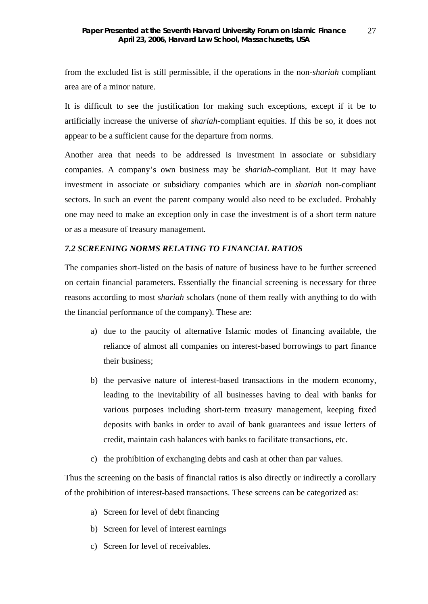from the excluded list is still permissible, if the operations in the non-*shariah* compliant area are of a minor nature.

It is difficult to see the justification for making such exceptions, except if it be to artificially increase the universe of *shariah*-compliant equities. If this be so, it does not appear to be a sufficient cause for the departure from norms.

Another area that needs to be addressed is investment in associate or subsidiary companies. A company's own business may be *shariah*-compliant. But it may have investment in associate or subsidiary companies which are in *shariah* non-compliant sectors. In such an event the parent company would also need to be excluded. Probably one may need to make an exception only in case the investment is of a short term nature or as a measure of treasury management.

### *7.2 SCREENING NORMS RELATING TO FINANCIAL RATIOS*

The companies short-listed on the basis of nature of business have to be further screened on certain financial parameters. Essentially the financial screening is necessary for three reasons according to most *shariah* scholars (none of them really with anything to do with the financial performance of the company). These are:

- a) due to the paucity of alternative Islamic modes of financing available, the reliance of almost all companies on interest-based borrowings to part finance their business;
- b) the pervasive nature of interest-based transactions in the modern economy, leading to the inevitability of all businesses having to deal with banks for various purposes including short-term treasury management, keeping fixed deposits with banks in order to avail of bank guarantees and issue letters of credit, maintain cash balances with banks to facilitate transactions, etc.
- c) the prohibition of exchanging debts and cash at other than par values.

Thus the screening on the basis of financial ratios is also directly or indirectly a corollary of the prohibition of interest-based transactions. These screens can be categorized as:

- a) Screen for level of debt financing
- b) Screen for level of interest earnings
- c) Screen for level of receivables.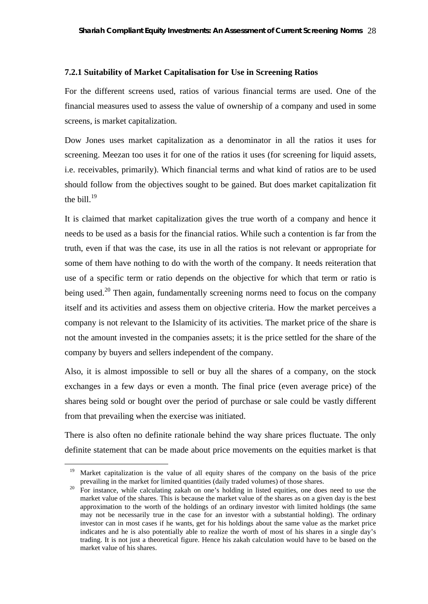#### **7.2.1 Suitability of Market Capitalisation for Use in Screening Ratios**

For the different screens used, ratios of various financial terms are used. One of the financial measures used to assess the value of ownership of a company and used in some screens, is market capitalization.

Dow Jones uses market capitalization as a denominator in all the ratios it uses for screening. Meezan too uses it for one of the ratios it uses (for screening for liquid assets, i.e. receivables, primarily). Which financial terms and what kind of ratios are to be used should follow from the objectives sought to be gained. But does market capitalization fit the bill. $^{19}$ 

It is claimed that market capitalization gives the true worth of a company and hence it needs to be used as a basis for the financial ratios. While such a contention is far from the truth, even if that was the case, its use in all the ratios is not relevant or appropriate for some of them have nothing to do with the worth of the company. It needs reiteration that use of a specific term or ratio depends on the objective for which that term or ratio is being used.<sup>20</sup> Then again, fundamentally screening norms need to focus on the company itself and its activities and assess them on objective criteria. How the market perceives a company is not relevant to the Islamicity of its activities. The market price of the share is not the amount invested in the companies assets; it is the price settled for the share of the company by buyers and sellers independent of the company.

Also, it is almost impossible to sell or buy all the shares of a company, on the stock exchanges in a few days or even a month. The final price (even average price) of the shares being sold or bought over the period of purchase or sale could be vastly different from that prevailing when the exercise was initiated.

There is also often no definite rationale behind the way share prices fluctuate. The only definite statement that can be made about price movements on the equities market is that

<sup>&</sup>lt;sup>19</sup> Market capitalization is the value of all equity shares of the company on the basis of the price prevailing in the market for limited quantities (daily traded volumes) of those shares.

<sup>&</sup>lt;sup>20</sup> For instance, while calculating zakah on one's holding in listed equities, one does need to use the market value of the shares. This is because the market value of the shares as on a given day is the best approximation to the worth of the holdings of an ordinary investor with limited holdings (the same may not be necessarily true in the case for an investor with a substantial holding). The ordinary investor can in most cases if he wants, get for his holdings about the same value as the market price indicates and he is also potentially able to realize the worth of most of his shares in a single day's trading. It is not just a theoretical figure. Hence his zakah calculation would have to be based on the market value of his shares.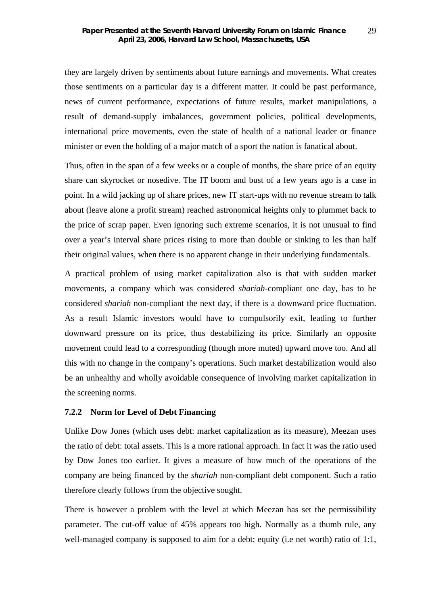they are largely driven by sentiments about future earnings and movements. What creates those sentiments on a particular day is a different matter. It could be past performance, news of current performance, expectations of future results, market manipulations, a result of demand-supply imbalances, government policies, political developments, international price movements, even the state of health of a national leader or finance minister or even the holding of a major match of a sport the nation is fanatical about.

Thus, often in the span of a few weeks or a couple of months, the share price of an equity share can skyrocket or nosedive. The IT boom and bust of a few years ago is a case in point. In a wild jacking up of share prices, new IT start-ups with no revenue stream to talk about (leave alone a profit stream) reached astronomical heights only to plummet back to the price of scrap paper. Even ignoring such extreme scenarios, it is not unusual to find over a year's interval share prices rising to more than double or sinking to les than half their original values, when there is no apparent change in their underlying fundamentals.

A practical problem of using market capitalization also is that with sudden market movements, a company which was considered *shariah*-compliant one day, has to be considered *shariah* non-compliant the next day, if there is a downward price fluctuation. As a result Islamic investors would have to compulsorily exit, leading to further downward pressure on its price, thus destabilizing its price. Similarly an opposite movement could lead to a corresponding (though more muted) upward move too. And all this with no change in the company's operations. Such market destabilization would also be an unhealthy and wholly avoidable consequence of involving market capitalization in the screening norms.

## **7.2.2 Norm for Level of Debt Financing**

Unlike Dow Jones (which uses debt: market capitalization as its measure), Meezan uses the ratio of debt: total assets. This is a more rational approach. In fact it was the ratio used by Dow Jones too earlier. It gives a measure of how much of the operations of the company are being financed by the *shariah* non-compliant debt component. Such a ratio therefore clearly follows from the objective sought.

There is however a problem with the level at which Meezan has set the permissibility parameter. The cut-off value of 45% appears too high. Normally as a thumb rule, any well-managed company is supposed to aim for a debt: equity (i.e net worth) ratio of 1:1,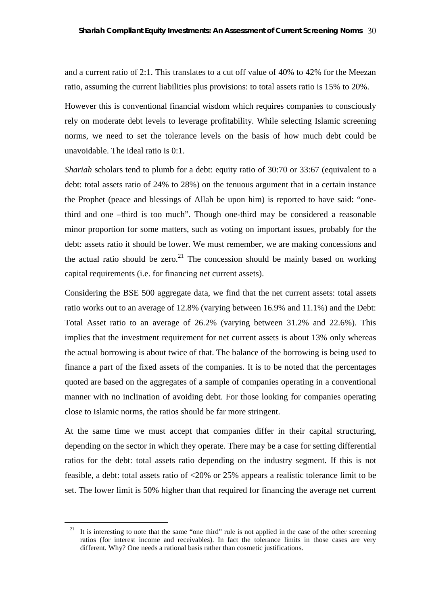and a current ratio of 2:1. This translates to a cut off value of 40% to 42% for the Meezan ratio, assuming the current liabilities plus provisions: to total assets ratio is 15% to 20%.

However this is conventional financial wisdom which requires companies to consciously rely on moderate debt levels to leverage profitability. While selecting Islamic screening norms, we need to set the tolerance levels on the basis of how much debt could be unavoidable. The ideal ratio is 0:1.

*Shariah* scholars tend to plumb for a debt: equity ratio of 30:70 or 33:67 (equivalent to a debt: total assets ratio of 24% to 28%) on the tenuous argument that in a certain instance the Prophet (peace and blessings of Allah be upon him) is reported to have said: "onethird and one –third is too much". Though one-third may be considered a reasonable minor proportion for some matters, such as voting on important issues, probably for the debt: assets ratio it should be lower. We must remember, we are making concessions and the actual ratio should be zero.<sup>21</sup> The concession should be mainly based on working capital requirements (i.e. for financing net current assets).

Considering the BSE 500 aggregate data, we find that the net current assets: total assets ratio works out to an average of 12.8% (varying between 16.9% and 11.1%) and the Debt: Total Asset ratio to an average of 26.2% (varying between 31.2% and 22.6%). This implies that the investment requirement for net current assets is about 13% only whereas the actual borrowing is about twice of that. The balance of the borrowing is being used to finance a part of the fixed assets of the companies. It is to be noted that the percentages quoted are based on the aggregates of a sample of companies operating in a conventional manner with no inclination of avoiding debt. For those looking for companies operating close to Islamic norms, the ratios should be far more stringent.

At the same time we must accept that companies differ in their capital structuring, depending on the sector in which they operate. There may be a case for setting differential ratios for the debt: total assets ratio depending on the industry segment. If this is not feasible, a debt: total assets ratio of <20% or 25% appears a realistic tolerance limit to be set. The lower limit is 50% higher than that required for financing the average net current

<sup>&</sup>lt;sup>21</sup> It is interesting to note that the same "one third" rule is not applied in the case of the other screening ratios (for interest income and receivables). In fact the tolerance limits in those cases are very different. Why? One needs a rational basis rather than cosmetic justifications.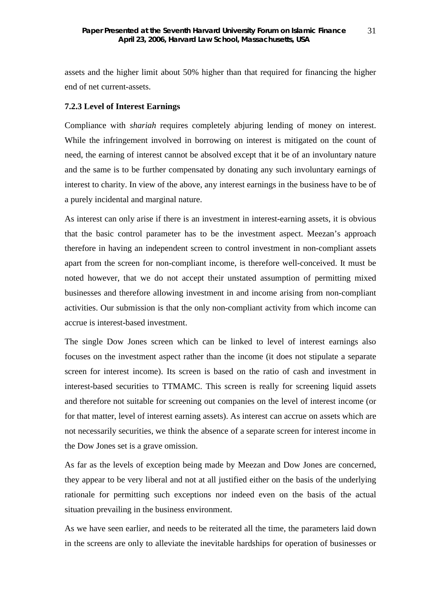assets and the higher limit about 50% higher than that required for financing the higher end of net current-assets.

## **7.2.3 Level of Interest Earnings**

Compliance with *shariah* requires completely abjuring lending of money on interest. While the infringement involved in borrowing on interest is mitigated on the count of need, the earning of interest cannot be absolved except that it be of an involuntary nature and the same is to be further compensated by donating any such involuntary earnings of interest to charity. In view of the above, any interest earnings in the business have to be of a purely incidental and marginal nature.

As interest can only arise if there is an investment in interest-earning assets, it is obvious that the basic control parameter has to be the investment aspect. Meezan's approach therefore in having an independent screen to control investment in non-compliant assets apart from the screen for non-compliant income, is therefore well-conceived. It must be noted however, that we do not accept their unstated assumption of permitting mixed businesses and therefore allowing investment in and income arising from non-compliant activities. Our submission is that the only non-compliant activity from which income can accrue is interest-based investment.

The single Dow Jones screen which can be linked to level of interest earnings also focuses on the investment aspect rather than the income (it does not stipulate a separate screen for interest income). Its screen is based on the ratio of cash and investment in interest-based securities to TTMAMC. This screen is really for screening liquid assets and therefore not suitable for screening out companies on the level of interest income (or for that matter, level of interest earning assets). As interest can accrue on assets which are not necessarily securities, we think the absence of a separate screen for interest income in the Dow Jones set is a grave omission.

As far as the levels of exception being made by Meezan and Dow Jones are concerned, they appear to be very liberal and not at all justified either on the basis of the underlying rationale for permitting such exceptions nor indeed even on the basis of the actual situation prevailing in the business environment.

As we have seen earlier, and needs to be reiterated all the time, the parameters laid down in the screens are only to alleviate the inevitable hardships for operation of businesses or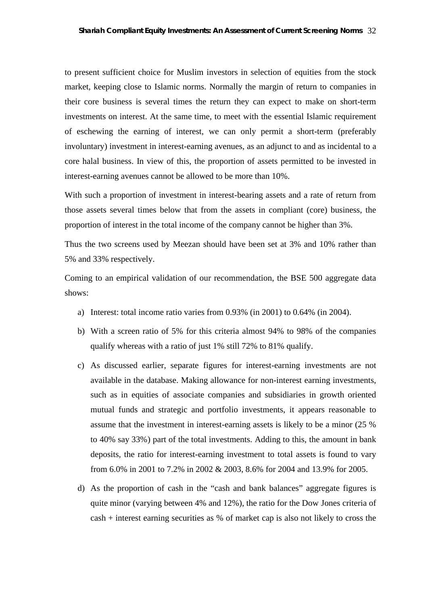to present sufficient choice for Muslim investors in selection of equities from the stock market, keeping close to Islamic norms. Normally the margin of return to companies in their core business is several times the return they can expect to make on short-term investments on interest. At the same time, to meet with the essential Islamic requirement of eschewing the earning of interest, we can only permit a short-term (preferably involuntary) investment in interest-earning avenues, as an adjunct to and as incidental to a core halal business. In view of this, the proportion of assets permitted to be invested in interest-earning avenues cannot be allowed to be more than 10%.

With such a proportion of investment in interest-bearing assets and a rate of return from those assets several times below that from the assets in compliant (core) business, the proportion of interest in the total income of the company cannot be higher than 3%.

Thus the two screens used by Meezan should have been set at 3% and 10% rather than 5% and 33% respectively.

Coming to an empirical validation of our recommendation, the BSE 500 aggregate data shows:

- a) Interest: total income ratio varies from 0.93% (in 2001) to 0.64% (in 2004).
- b) With a screen ratio of 5% for this criteria almost 94% to 98% of the companies qualify whereas with a ratio of just 1% still 72% to 81% qualify.
- c) As discussed earlier, separate figures for interest-earning investments are not available in the database. Making allowance for non-interest earning investments, such as in equities of associate companies and subsidiaries in growth oriented mutual funds and strategic and portfolio investments, it appears reasonable to assume that the investment in interest-earning assets is likely to be a minor (25 % to 40% say 33%) part of the total investments. Adding to this, the amount in bank deposits, the ratio for interest-earning investment to total assets is found to vary from 6.0% in 2001 to 7.2% in 2002 & 2003, 8.6% for 2004 and 13.9% for 2005.
- d) As the proportion of cash in the "cash and bank balances" aggregate figures is quite minor (varying between 4% and 12%), the ratio for the Dow Jones criteria of cash + interest earning securities as % of market cap is also not likely to cross the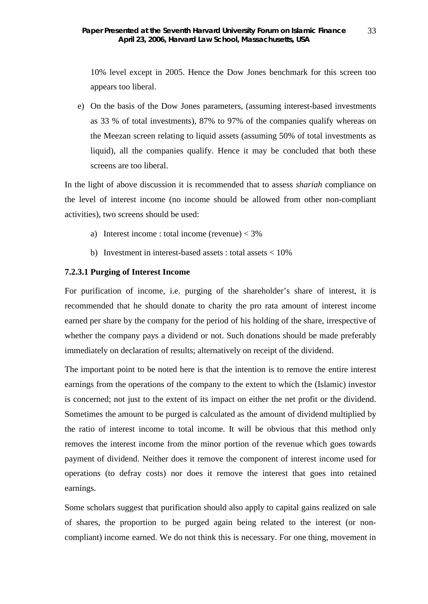10% level except in 2005. Hence the Dow Jones benchmark for this screen too appears too liberal.

e) On the basis of the Dow Jones parameters, (assuming interest-based investments as 33 % of total investments), 87% to 97% of the companies qualify whereas on the Meezan screen relating to liquid assets (assuming 50% of total investments as liquid), all the companies qualify. Hence it may be concluded that both these screens are too liberal.

In the light of above discussion it is recommended that to assess *shariah* compliance on the level of interest income (no income should be allowed from other non-compliant activities), two screens should be used:

- a) Interest income : total income (revenue)  $<$  3%
- b) Investment in interest-based assets : total assets < 10%

#### **7.2.3.1 Purging of Interest Income**

For purification of income, i.e. purging of the shareholder's share of interest, it is recommended that he should donate to charity the pro rata amount of interest income earned per share by the company for the period of his holding of the share, irrespective of whether the company pays a dividend or not. Such donations should be made preferably immediately on declaration of results; alternatively on receipt of the dividend.

The important point to be noted here is that the intention is to remove the entire interest earnings from the operations of the company to the extent to which the (Islamic) investor is concerned; not just to the extent of its impact on either the net profit or the dividend. Sometimes the amount to be purged is calculated as the amount of dividend multiplied by the ratio of interest income to total income. It will be obvious that this method only removes the interest income from the minor portion of the revenue which goes towards payment of dividend. Neither does it remove the component of interest income used for operations (to defray costs) nor does it remove the interest that goes into retained earnings.

Some scholars suggest that purification should also apply to capital gains realized on sale of shares, the proportion to be purged again being related to the interest (or noncompliant) income earned. We do not think this is necessary. For one thing, movement in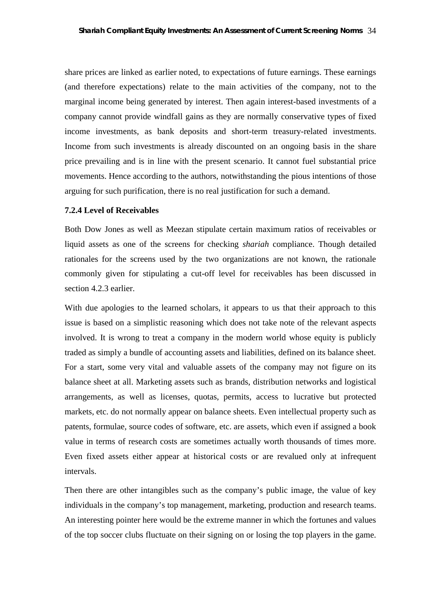share prices are linked as earlier noted, to expectations of future earnings. These earnings (and therefore expectations) relate to the main activities of the company, not to the marginal income being generated by interest. Then again interest-based investments of a company cannot provide windfall gains as they are normally conservative types of fixed income investments, as bank deposits and short-term treasury-related investments. Income from such investments is already discounted on an ongoing basis in the share price prevailing and is in line with the present scenario. It cannot fuel substantial price movements. Hence according to the authors, notwithstanding the pious intentions of those arguing for such purification, there is no real justification for such a demand.

#### **7.2.4 Level of Receivables**

Both Dow Jones as well as Meezan stipulate certain maximum ratios of receivables or liquid assets as one of the screens for checking *shariah* compliance. Though detailed rationales for the screens used by the two organizations are not known, the rationale commonly given for stipulating a cut-off level for receivables has been discussed in section 4.2.3 earlier.

With due apologies to the learned scholars, it appears to us that their approach to this issue is based on a simplistic reasoning which does not take note of the relevant aspects involved. It is wrong to treat a company in the modern world whose equity is publicly traded as simply a bundle of accounting assets and liabilities, defined on its balance sheet. For a start, some very vital and valuable assets of the company may not figure on its balance sheet at all. Marketing assets such as brands, distribution networks and logistical arrangements, as well as licenses, quotas, permits, access to lucrative but protected markets, etc. do not normally appear on balance sheets. Even intellectual property such as patents, formulae, source codes of software, etc. are assets, which even if assigned a book value in terms of research costs are sometimes actually worth thousands of times more. Even fixed assets either appear at historical costs or are revalued only at infrequent intervals.

Then there are other intangibles such as the company's public image, the value of key individuals in the company's top management, marketing, production and research teams. An interesting pointer here would be the extreme manner in which the fortunes and values of the top soccer clubs fluctuate on their signing on or losing the top players in the game.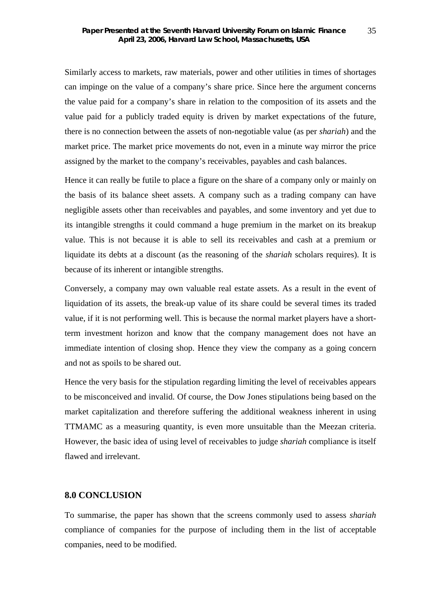Similarly access to markets, raw materials, power and other utilities in times of shortages can impinge on the value of a company's share price. Since here the argument concerns the value paid for a company's share in relation to the composition of its assets and the value paid for a publicly traded equity is driven by market expectations of the future, there is no connection between the assets of non-negotiable value (as per *shariah*) and the market price. The market price movements do not, even in a minute way mirror the price assigned by the market to the company's receivables, payables and cash balances.

Hence it can really be futile to place a figure on the share of a company only or mainly on the basis of its balance sheet assets. A company such as a trading company can have negligible assets other than receivables and payables, and some inventory and yet due to its intangible strengths it could command a huge premium in the market on its breakup value. This is not because it is able to sell its receivables and cash at a premium or liquidate its debts at a discount (as the reasoning of the *shariah* scholars requires). It is because of its inherent or intangible strengths.

Conversely, a company may own valuable real estate assets. As a result in the event of liquidation of its assets, the break-up value of its share could be several times its traded value, if it is not performing well. This is because the normal market players have a shortterm investment horizon and know that the company management does not have an immediate intention of closing shop. Hence they view the company as a going concern and not as spoils to be shared out.

Hence the very basis for the stipulation regarding limiting the level of receivables appears to be misconceived and invalid. Of course, the Dow Jones stipulations being based on the market capitalization and therefore suffering the additional weakness inherent in using TTMAMC as a measuring quantity, is even more unsuitable than the Meezan criteria. However, the basic idea of using level of receivables to judge *shariah* compliance is itself flawed and irrelevant.

### **8.0 CONCLUSION**

To summarise, the paper has shown that the screens commonly used to assess *shariah* compliance of companies for the purpose of including them in the list of acceptable companies, need to be modified.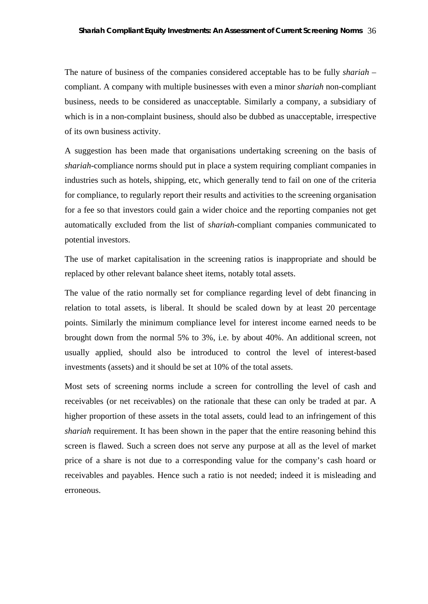The nature of business of the companies considered acceptable has to be fully *shariah* – compliant. A company with multiple businesses with even a minor *shariah* non-compliant business, needs to be considered as unacceptable. Similarly a company, a subsidiary of which is in a non-complaint business, should also be dubbed as unacceptable, irrespective of its own business activity.

A suggestion has been made that organisations undertaking screening on the basis of *shariah*-compliance norms should put in place a system requiring compliant companies in industries such as hotels, shipping, etc, which generally tend to fail on one of the criteria for compliance, to regularly report their results and activities to the screening organisation for a fee so that investors could gain a wider choice and the reporting companies not get automatically excluded from the list of *shariah*-compliant companies communicated to potential investors.

The use of market capitalisation in the screening ratios is inappropriate and should be replaced by other relevant balance sheet items, notably total assets.

The value of the ratio normally set for compliance regarding level of debt financing in relation to total assets, is liberal. It should be scaled down by at least 20 percentage points. Similarly the minimum compliance level for interest income earned needs to be brought down from the normal 5% to 3%, i.e. by about 40%. An additional screen, not usually applied, should also be introduced to control the level of interest-based investments (assets) and it should be set at 10% of the total assets.

Most sets of screening norms include a screen for controlling the level of cash and receivables (or net receivables) on the rationale that these can only be traded at par. A higher proportion of these assets in the total assets, could lead to an infringement of this *shariah* requirement. It has been shown in the paper that the entire reasoning behind this screen is flawed. Such a screen does not serve any purpose at all as the level of market price of a share is not due to a corresponding value for the company's cash hoard or receivables and payables. Hence such a ratio is not needed; indeed it is misleading and erroneous.